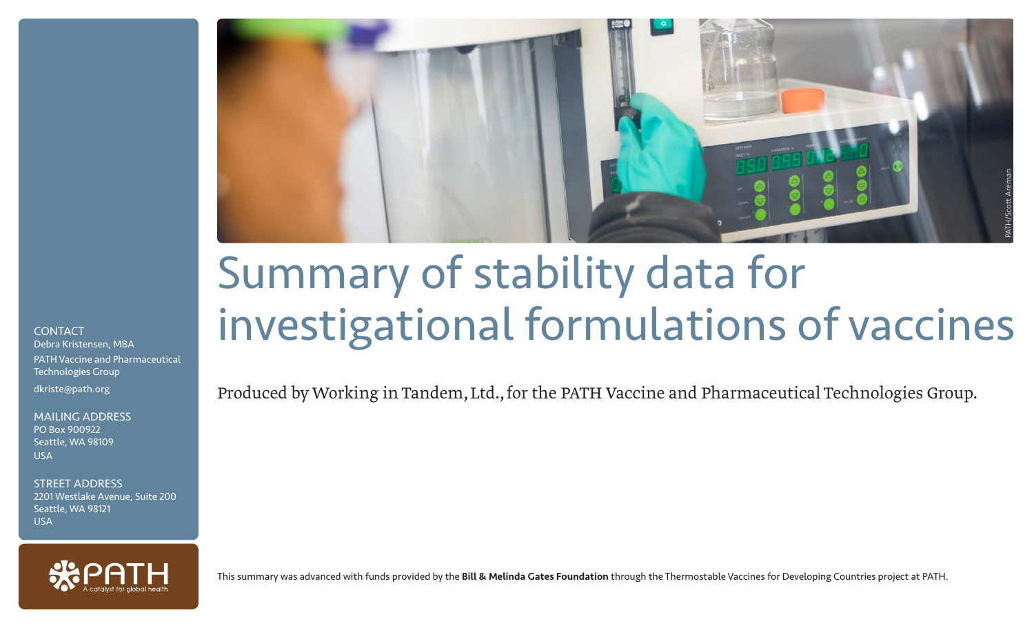

# Summary of stability data for investigational formulations of vaccines

Produced by Working in Tandem, Ltd., for the PATH Vaccine and Pharmaceutical Technologies Group.

MAILING ADDRESS PO Box 900922 Seattle, WA 98109 USA

Debra Kristensen, MBA

Technologies Group dkriste@path.org

PATH Vaccine and Pharmaceutical

**CONTACT** 

STREET ADDRESS 2201 Westlake Avenue, Suite 200 Seattle, WA 98121 USA



This summary was advanced with funds provided by the Bill & Melinda Gates Foundation through the Thermostable Vaccines for Developing Countries project at PATH.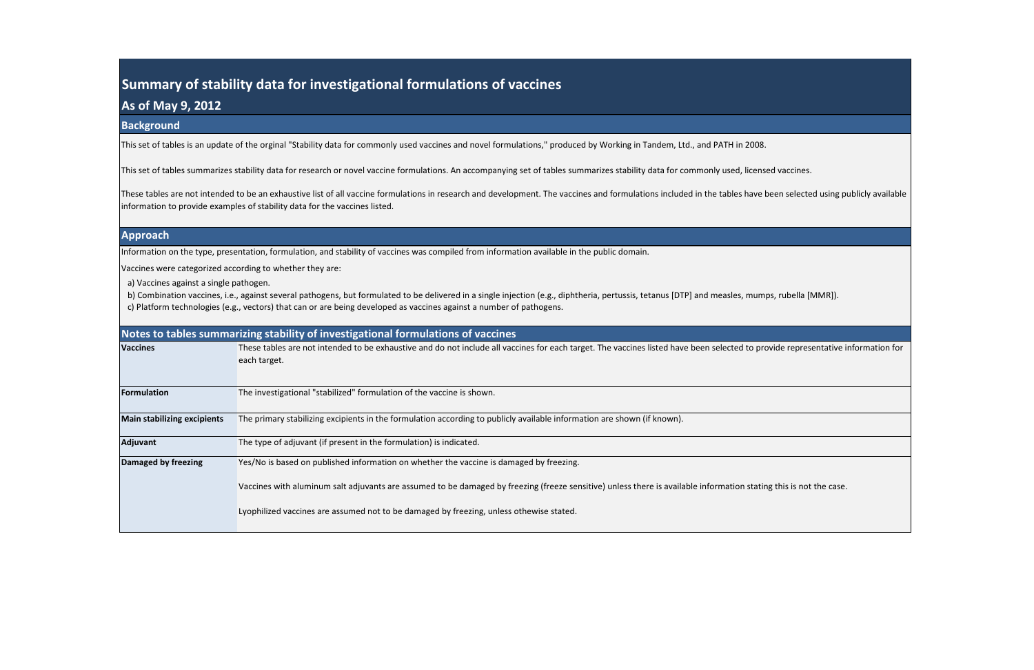### **As of May 9, 2012**

#### **Background**

This set of tables is an update of the orginal "Stability data for commonly used vaccines and novel formulations," produced by Working in Tandem, Ltd., and PATH in 2008.

#### **Approach**

Information on the type, presentation, formulation, and stability of vaccines was compiled from information available in the public domain.

b) Combination vaccines, i.e., against several pathogens, but formulated to be delivered in a single injection (e.g., diphtheria, pertussis, tetanus [DTP] and measles, mumps, rubella [MMR]). c) Platform technologies (e.g., vectors) that can or are being developed as vaccines against a number of pathogens.

Vaccines were categorized according to whether they are:

a) Vaccines against a single pathogen.

These tables are not intended to be an exhaustive list of all vaccine formulations in research and development. The vaccines and formulations included in the tables have been selected using publicly available information to provide examples of stability data for the vaccines listed.

|                                    | Notes to tables summarizing stability of investigational formulations of vaccines                                                           |
|------------------------------------|---------------------------------------------------------------------------------------------------------------------------------------------|
| <b>Vaccines</b>                    | These tables are not intended to be exhaustive and do not include all vaccines for each target. The vaccines listed have been selected to p |
|                                    | each target.                                                                                                                                |
|                                    |                                                                                                                                             |
| <b>Formulation</b>                 | The investigational "stabilized" formulation of the vaccine is shown.                                                                       |
| <b>Main stabilizing excipients</b> | The primary stabilizing excipients in the formulation according to publicly available information are shown (if known).                     |
| Adjuvant                           | The type of adjuvant (if present in the formulation) is indicated.                                                                          |
| Damaged by freezing                | Yes/No is based on published information on whether the vaccine is damaged by freezing.                                                     |
|                                    | Vaccines with aluminum salt adjuvants are assumed to be damaged by freezing (freeze sensitive) unless there is available information stat   |
|                                    | Lyophilized vaccines are assumed not to be damaged by freezing, unless othewise stated.                                                     |
|                                    |                                                                                                                                             |

orovide representative information for

ting this is not the case.

This set of tables summarizes stability data for research or novel vaccine formulations. An accompanying set of tables summarizes stability data for commonly used, licensed vaccines.

### **Summary of stability data for investigational formulations of vaccines**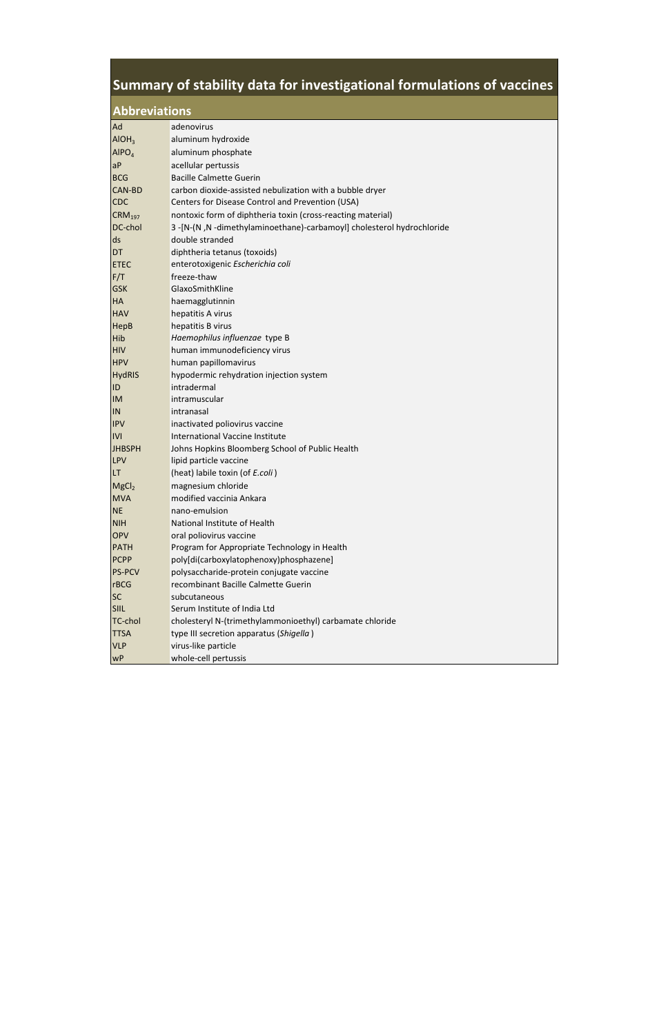### **Abbreviations**

| Ad                 | adenovirus                                                             |
|--------------------|------------------------------------------------------------------------|
| AIOH <sub>3</sub>  | aluminum hydroxide                                                     |
| $A$ $P$ $O_4$      | aluminum phosphate                                                     |
| aP                 | acellular pertussis                                                    |
| <b>BCG</b>         | <b>Bacille Calmette Guerin</b>                                         |
| <b>CAN-BD</b>      | carbon dioxide-assisted nebulization with a bubble dryer               |
| <b>CDC</b>         | Centers for Disease Control and Prevention (USA)                       |
| CRM <sub>197</sub> | nontoxic form of diphtheria toxin (cross-reacting material)            |
| DC-chol            | 3 -[N-(N, N -dimethylaminoethane)-carbamoyl] cholesterol hydrochloride |
| lds                | double stranded                                                        |
| DT                 | diphtheria tetanus (toxoids)                                           |
| <b>ETEC</b>        | enterotoxigenic Escherichia coli                                       |
| F/T                | freeze-thaw                                                            |
| <b>GSK</b>         | GlaxoSmithKline                                                        |
| <b>HA</b>          | haemagglutinnin                                                        |
| <b>HAV</b>         | hepatitis A virus                                                      |
| <b>HepB</b>        | hepatitis B virus                                                      |
| Hib                | Haemophilus influenzae type B                                          |
| <b>HIV</b>         | human immunodeficiency virus                                           |
| <b>HPV</b>         | human papillomavirus                                                   |
| <b>HydRIS</b>      | hypodermic rehydration injection system                                |
| ID                 | intradermal                                                            |
| <b>IM</b>          | intramuscular                                                          |
| IN                 | intranasal                                                             |
| <b>IPV</b>         | inactivated poliovirus vaccine                                         |
| <b>IVI</b>         | International Vaccine Institute                                        |
| <b>JHBSPH</b>      | Johns Hopkins Bloomberg School of Public Health                        |
| <b>LPV</b>         | lipid particle vaccine                                                 |
| <b>LT</b>          | (heat) labile toxin (of E.coli)                                        |
| MgCl <sub>2</sub>  | magnesium chloride                                                     |
| <b>MVA</b>         | modified vaccinia Ankara                                               |
| <b>NE</b>          | nano-emulsion                                                          |
| <b>NIH</b>         | National Institute of Health                                           |
| <b>OPV</b>         | oral poliovirus vaccine                                                |
| <b>PATH</b>        | Program for Appropriate Technology in Health                           |
| <b>PCPP</b>        | poly[di(carboxylatophenoxy)phosphazene]                                |
| <b>PS-PCV</b>      | polysaccharide-protein conjugate vaccine                               |
| <b>rBCG</b>        | recombinant Bacille Calmette Guerin                                    |
| <b>SC</b>          | subcutaneous                                                           |
| <b>SIIL</b>        | Serum Institute of India Ltd                                           |
| TC-chol            | cholesteryl N-(trimethylammonioethyl) carbamate chloride               |
| <b>TTSA</b>        | type III secretion apparatus (Shigella)                                |
| <b>VLP</b>         | virus-like particle                                                    |
| <b>wP</b>          | whole-cell pertussis                                                   |

# **Summary of stability data for investigational formulations of vaccines**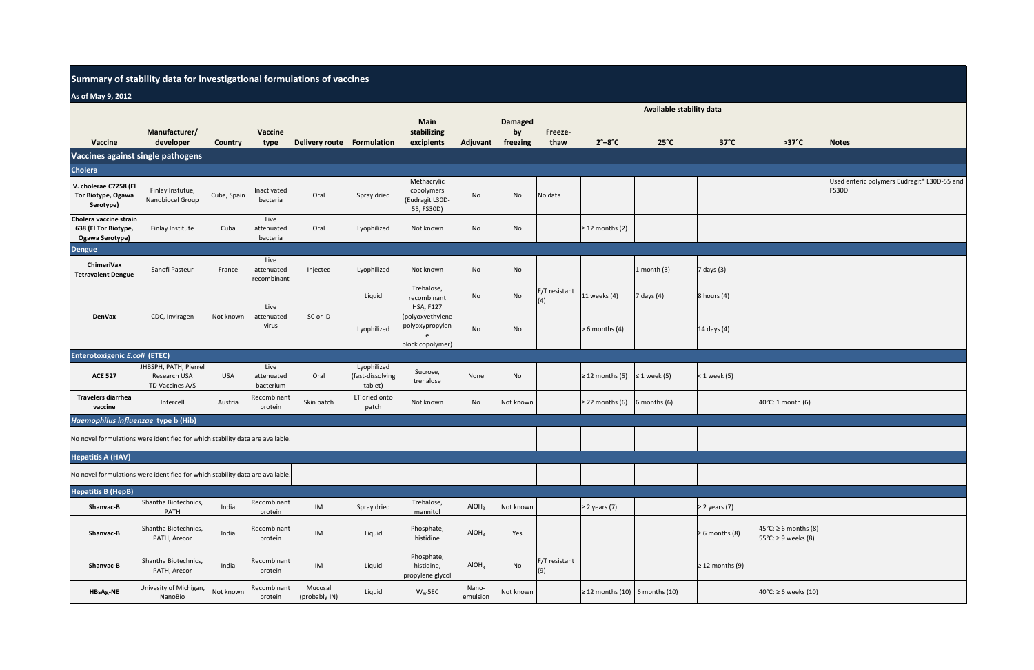| Summary of stability data for investigational formulations of vaccines        |                                                          |                |                                   |                            |                                            |                                                            |                   |                                  |                        |                                          |                                                   |                      |                                                                       |                                                      |
|-------------------------------------------------------------------------------|----------------------------------------------------------|----------------|-----------------------------------|----------------------------|--------------------------------------------|------------------------------------------------------------|-------------------|----------------------------------|------------------------|------------------------------------------|---------------------------------------------------|----------------------|-----------------------------------------------------------------------|------------------------------------------------------|
| As of May 9, 2012                                                             |                                                          |                |                                   |                            |                                            |                                                            |                   |                                  |                        |                                          |                                                   |                      |                                                                       |                                                      |
| Vaccine                                                                       | Manufacturer/<br>developer                               | <b>Country</b> | <b>Vaccine</b><br>type            | Delivery route Formulation |                                            | <b>Main</b><br>stabilizing<br>excipients                   | Adjuvant          | <b>Damaged</b><br>by<br>freezing | <b>Freeze-</b><br>thaw | $2^\circ - 8^\circ C$                    | <b>Available stability data</b><br>$25^{\circ}$ C | $37^{\circ}$ C       | $>37^{\circ}C$                                                        | <b>Notes</b>                                         |
| <b>Vaccines against single pathogens</b>                                      |                                                          |                |                                   |                            |                                            |                                                            |                   |                                  |                        |                                          |                                                   |                      |                                                                       |                                                      |
| <b>Cholera</b>                                                                |                                                          |                |                                   |                            |                                            |                                                            |                   |                                  |                        |                                          |                                                   |                      |                                                                       |                                                      |
| V. cholerae C7258 (El<br>Tor Biotype, Ogawa<br>Serotype)                      | Finlay Instutue,<br>Nanobiocel Group                     | Cuba, Spain    | Inactivated<br>bacteria           | Oral                       | Spray dried                                | Methacrylic<br>copolymers<br>(Eudragit L30D-<br>55, FS30D) | No                | No                               | No data                |                                          |                                                   |                      |                                                                       | Used enteric polymers Eudragit® L30D-55 and<br>FS30D |
| Cholera vaccine strain<br>638 (El Tor Biotype,<br><b>Ogawa Serotype)</b>      | Finlay Institute                                         | Cuba           | Live<br>attenuated<br>bacteria    | Oral                       | Lyophilized                                | Not known                                                  | No                | <b>No</b>                        |                        | $\geq$ 12 months (2)                     |                                                   |                      |                                                                       |                                                      |
| <b>Dengue</b>                                                                 |                                                          |                |                                   |                            |                                            |                                                            |                   |                                  |                        |                                          |                                                   |                      |                                                                       |                                                      |
| ChimeriVax<br><b>Tetravalent Dengue</b>                                       | Sanofi Pasteur                                           | France         | Live<br>attenuated<br>recombinant | Injected                   | Lyophilized                                | Not known                                                  | No                | No                               |                        |                                          | $ 1$ month $(3)$                                  | $7$ days (3)         |                                                                       |                                                      |
|                                                                               |                                                          |                | Live                              |                            | Liquid                                     | Trehalose,<br>recombinant<br><b>HSA, F127</b>              | <b>No</b>         | <b>No</b>                        | $F/T$ resistant<br>(4) | $ 11$ weeks $(4)$                        | $ 7$ days (4)                                     | $ 8$ hours $(4)$     |                                                                       |                                                      |
| <b>DenVax</b>                                                                 | CDC, Inviragen                                           | Not known      | attenuated<br>virus               | SC or ID                   | Lyophilized                                | (polyoxyethylene-<br>polyoxypropylen                       | No                | <b>No</b>                        |                        | $> 6$ months (4)                         |                                                   | $ 14$ days $(4)$     |                                                                       |                                                      |
| <b>Enterotoxigenic E.coli (ETEC)</b>                                          |                                                          |                |                                   |                            |                                            | block copolymer)                                           |                   |                                  |                        |                                          |                                                   |                      |                                                                       |                                                      |
| <b>ACE 527</b>                                                                | JHBSPH, PATH, Pierrel<br>Research USA<br>TD Vaccines A/S | <b>USA</b>     | Live<br>attenuated<br>bacterium   | Oral                       | Lyophilized<br>(fast-dissolving<br>tablet) | Sucrose,<br>trehalose                                      | None              | No                               |                        | $\geq$ 12 months (5) $\leq$ 1 week (5)   |                                                   | $<$ 1 week (5)       |                                                                       |                                                      |
| <b>Travelers diarrhea</b><br>vaccine                                          | Intercell                                                | Austria        | Recombinant<br>protein            | Skin patch                 | LT dried onto<br>patch                     | Not known                                                  | No                | Not known                        |                        | $\geq$ 22 months (6) $\mid$ 6 months (6) |                                                   |                      | $ 40^{\circ}$ C: 1 month (6)                                          |                                                      |
| Haemophilus influenzae type b (Hib)                                           |                                                          |                |                                   |                            |                                            |                                                            |                   |                                  |                        |                                          |                                                   |                      |                                                                       |                                                      |
| No novel formulations were identified for which stability data are available. |                                                          |                |                                   |                            |                                            |                                                            |                   |                                  |                        |                                          |                                                   |                      |                                                                       |                                                      |
| <b>Hepatitis A (HAV)</b>                                                      |                                                          |                |                                   |                            |                                            |                                                            |                   |                                  |                        |                                          |                                                   |                      |                                                                       |                                                      |
| No novel formulations were identified for which stability data are available. |                                                          |                |                                   |                            |                                            |                                                            |                   |                                  |                        |                                          |                                                   |                      |                                                                       |                                                      |
| <b>Hepatitis B (HepB)</b>                                                     | Shantha Biotechnics,                                     |                | Recombinant                       |                            |                                            | Trehalose,                                                 |                   |                                  |                        |                                          |                                                   |                      |                                                                       |                                                      |
| <b>Shanvac-B</b>                                                              | <b>PATH</b>                                              | India          | protein                           | $\sf IM$                   | Spray dried                                | mannitol                                                   | AIOH <sub>3</sub> | Not known                        |                        | $\geq$ 2 years (7)                       |                                                   | $\geq$ 2 years (7)   |                                                                       |                                                      |
| <b>Shanvac-B</b>                                                              | Shantha Biotechnics,<br>PATH, Arecor                     | India          | Recombinant<br>protein            | IM                         | Liquid                                     | Phosphate,<br>histidine                                    | AIOH <sub>3</sub> | Yes                              |                        |                                          |                                                   | $\geq 6$ months (8)  | $45^{\circ}$ C: $\geq 6$ months (8)<br>$ 55^{\circ}$ C: ≥ 9 weeks (8) |                                                      |
| <b>Shanvac-B</b>                                                              | Shantha Biotechnics,<br>PATH, Arecor                     | India          | Recombinant<br>protein            | IM                         | Liquid                                     | Phosphate,<br>histidine,<br>propylene glycol               | AIOH <sub>3</sub> | <b>No</b>                        | $F/T$ resistant<br>(9) |                                          |                                                   | $\geq$ 12 months (9) |                                                                       |                                                      |
| <b>HBsAg-NE</b>                                                               | Univesity of Michigan,<br>NanoBio                        | Not known      | Recombinant<br>protein            | Mucosal<br>(probably IN)   | Liquid                                     | $W_{80}$ 5EC                                               | Nano-<br>emulsion | Not known                        |                        | $\geq$ 12 months (10) 6 months (10)      |                                                   |                      | $ 40^{\circ}$ C: ≥ 6 weeks (10)                                       |                                                      |

| patitis B (HepB) |                                      |       |                        |    |         |
|------------------|--------------------------------------|-------|------------------------|----|---------|
| <b>Shanvac-B</b> | Shantha Biotechnics,<br><b>PATH</b>  | India | Recombinant<br>protein | IM | Spray o |
| <b>Shanvac-B</b> | Shantha Biotechnics,<br>PATH, Arecor | India | Recombinant<br>protein | IM | Liqu    |
| <b>Shanvac-B</b> | Shantha Biotechnics,<br>PATH, Arecor | India | Recombinant<br>protein | IM | Liqu    |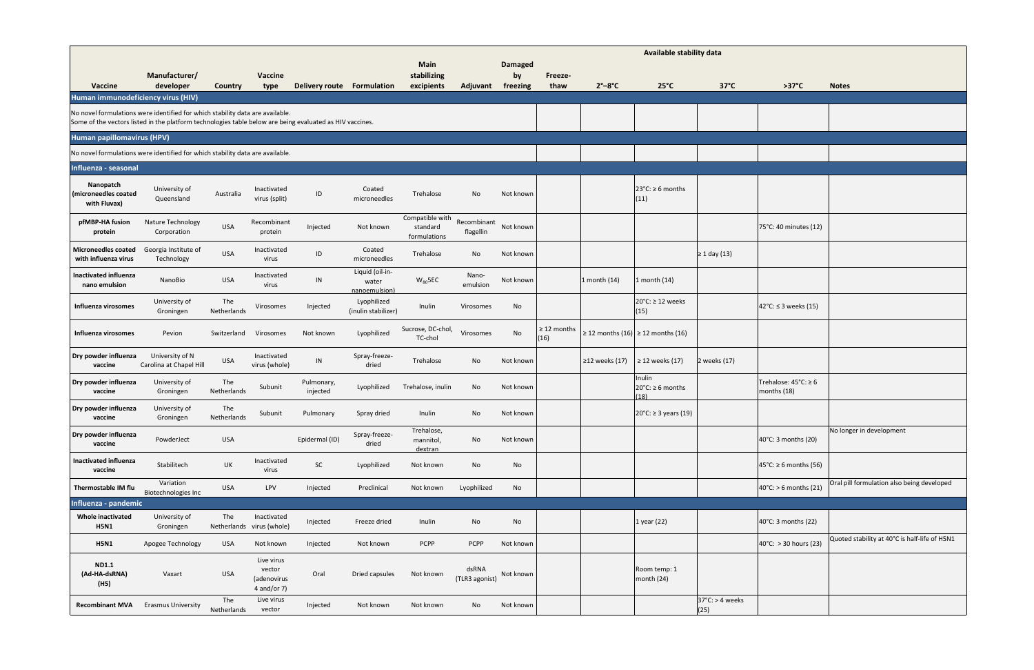|                                                                                                                                                                                           |                                            |                    |                                                      |                            |                                           |                                             |                          |                      |                          |                       | <b>Available stability data</b>                   |                                    |                                                    |                                               |
|-------------------------------------------------------------------------------------------------------------------------------------------------------------------------------------------|--------------------------------------------|--------------------|------------------------------------------------------|----------------------------|-------------------------------------------|---------------------------------------------|--------------------------|----------------------|--------------------------|-----------------------|---------------------------------------------------|------------------------------------|----------------------------------------------------|-----------------------------------------------|
|                                                                                                                                                                                           | Manufacturer/                              |                    | Vaccine                                              |                            |                                           | <b>Main</b><br>stabilizing                  |                          | <b>Damaged</b><br>by | <b>Freeze-</b>           |                       |                                                   |                                    |                                                    |                                               |
| Vaccine                                                                                                                                                                                   | developer                                  | <b>Country</b>     | type                                                 | Delivery route Formulation |                                           | excipients                                  | Adjuvant                 | freezing             | thaw                     | $2^\circ - 8^\circ C$ | $25^{\circ}$ C                                    | $37^{\circ}$ C                     | $>37^{\circ}C$                                     | <b>Notes</b>                                  |
| Human immunodeficiency virus (HIV)                                                                                                                                                        |                                            |                    |                                                      |                            |                                           |                                             |                          |                      |                          |                       |                                                   |                                    |                                                    |                                               |
| No novel formulations were identified for which stability data are available.<br>Some of the vectors listed in the platform technologies table below are being evaluated as HIV vaccines. |                                            |                    |                                                      |                            |                                           |                                             |                          |                      |                          |                       |                                                   |                                    |                                                    |                                               |
| Human papillomavirus (HPV)                                                                                                                                                                |                                            |                    |                                                      |                            |                                           |                                             |                          |                      |                          |                       |                                                   |                                    |                                                    |                                               |
| No novel formulations were identified for which stability data are available.                                                                                                             |                                            |                    |                                                      |                            |                                           |                                             |                          |                      |                          |                       |                                                   |                                    |                                                    |                                               |
| Influenza - seasonal                                                                                                                                                                      |                                            |                    |                                                      |                            |                                           |                                             |                          |                      |                          |                       |                                                   |                                    |                                                    |                                               |
| Nanopatch<br><b>Inicroneedles coated</b><br>with Fluvax)                                                                                                                                  | University of<br>Queensland                | Australia          | Inactivated<br>virus (split)                         | ID                         | Coated<br>microneedles                    | Trehalose                                   | <b>No</b>                | Not known            |                          |                       | $23^{\circ}$ C: $\geq 6$ months<br>(11)           |                                    |                                                    |                                               |
| pfMBP-HA fusion<br>protein                                                                                                                                                                | <b>Nature Technology</b><br>Corporation    | <b>USA</b>         | Recombinant<br>protein                               | Injected                   | Not known                                 | Compatible with<br>standard<br>formulations | Recombinant<br>flagellin | Not known            |                          |                       |                                                   |                                    | 75°C: 40 minutes (12)                              |                                               |
| Microneedles coated<br>with influenza virus                                                                                                                                               | Georgia Institute of<br>Technology         | <b>USA</b>         | Inactivated<br>virus                                 | ID                         | Coated<br>microneedles                    | Trehalose                                   | <b>No</b>                | Not known            |                          |                       |                                                   | $\geq 1$ day (13)                  |                                                    |                                               |
| <b>Inactivated influenza</b><br>nano emulsion                                                                                                                                             | NanoBio                                    | <b>USA</b>         | Inactivated<br>virus                                 | IN                         | Liquid (oil-in-<br>water<br>nanoemulsion) | $W_{80}$ 5EC                                | Nano-<br>emulsion        | Not known            |                          | $1$ month $(14)$      | $\vert$ 1 month (14)                              |                                    |                                                    |                                               |
| Influenza virosomes                                                                                                                                                                       | University of<br>Groningen                 | The<br>Netherlands | Virosomes                                            | Injected                   | Lyophilized<br>(inulin stabilizer)        | Inulin                                      | Virosomes                | No                   |                          |                       | $20^{\circ}$ C: $\geq$ 12 weeks<br>(15)           |                                    | $ 42^{\circ}$ C: ≤ 3 weeks (15)                    |                                               |
| Influenza virosomes                                                                                                                                                                       | Pevion                                     | Switzerland        | Virosomes                                            | Not known                  | Lyophilized                               | Sucrose, DC-chol,<br>TC-chol                | Virosomes                | <b>No</b>            | $\geq 12$ months<br>(16) |                       | $\geq$ 12 months (16) $\geq$ 12 months (16)       |                                    |                                                    |                                               |
| Dry powder influenza<br>vaccine                                                                                                                                                           | University of N<br>Carolina at Chapel Hill | <b>USA</b>         | Inactivated<br>virus (whole)                         | IN                         | Spray-freeze-<br>dried                    | Trehalose                                   | No                       | Not known            |                          | ≥12 weeks $(17)$      | $\geq$ 12 weeks (17)                              | 2 weeks $(17)$                     |                                                    |                                               |
| Dry powder influenza<br>vaccine                                                                                                                                                           | University of<br>Groningen                 | The<br>Netherlands | Subunit                                              | Pulmonary,<br>injected     | Lyophilized                               | Trehalose, inulin                           | <b>No</b>                | Not known            |                          |                       | Inulin<br>$20^{\circ}$ C: $\geq 6$ months<br>(18) |                                    | Trehalose: $45^{\circ}$ C: $\geq 6$<br>months (18) |                                               |
| Dry powder influenza<br>vaccine                                                                                                                                                           | University of<br>Groningen                 | The<br>Netherlands | Subunit                                              | Pulmonary                  | Spray dried                               | Inulin                                      | <b>No</b>                | Not known            |                          |                       | $20°C$ : ≥ 3 years (19)                           |                                    |                                                    |                                               |
| Dry powder influenza<br>vaccine                                                                                                                                                           | PowderJect                                 | <b>USA</b>         |                                                      | Epidermal (ID)             | Spray-freeze-<br>dried                    | Trehalose,<br>mannitol,<br>dextran          | No                       | Not known            |                          |                       |                                                   |                                    | 40°C: 3 months (20)                                | No longer in development                      |
| Inactivated influenza<br>vaccine                                                                                                                                                          | Stabilitech                                | UK                 | Inactivated<br>virus                                 | SC                         | Lyophilized                               | Not known                                   | No                       | No                   |                          |                       |                                                   |                                    | $ 45^{\circ}$ C: ≥ 6 months (56)                   |                                               |
| Thermostable IM flu                                                                                                                                                                       | Variation<br>Biotechnologies Inc           | <b>USA</b>         | LPV                                                  | Injected                   | Preclinical                               | Not known                                   | Lyophilized              | No                   |                          |                       |                                                   |                                    | $40^{\circ}$ C: > 6 months (21)                    | Oral pill formulation also being developed    |
| Influenza - pandemic                                                                                                                                                                      |                                            |                    |                                                      |                            |                                           |                                             |                          |                      |                          |                       |                                                   |                                    |                                                    |                                               |
| Whole inactivated<br><b>H5N1</b>                                                                                                                                                          | University of<br>Groningen                 | The                | Inactivated<br>Netherlands virus (whole)             | Injected                   | Freeze dried                              | Inulin                                      | <b>No</b>                | No                   |                          |                       | 1 year $(22)$                                     |                                    | 40°C: 3 months $(22)$                              |                                               |
| <b>H5N1</b>                                                                                                                                                                               | Apogee Technology                          | USA                | Not known                                            | Injected                   | Not known                                 | <b>PCPP</b>                                 | <b>PCPP</b>              | Not known            |                          |                       |                                                   |                                    | $40^{\circ}$ C: > 30 hours (23)                    | Quoted stability at 40°C is half-life of H5N1 |
| <b>ND1.1</b><br>(Ad-HA-dsRNA)<br>(H5)                                                                                                                                                     | Vaxart                                     | <b>USA</b>         | Live virus<br>vector<br>(adenovirus<br>4 and/or $7)$ | Oral                       | Dried capsules                            | Not known                                   | dsRNA<br>(TLR3 agonist)  | Not known            |                          |                       | Room temp: 1<br>month $(24)$                      |                                    |                                                    |                                               |
| <b>Recombinant MVA</b>                                                                                                                                                                    | <b>Erasmus University</b>                  | The<br>Netherlands | Live virus<br>vector                                 | Injected                   | Not known                                 | Not known                                   | <b>No</b>                | Not known            |                          |                       |                                                   | $ 37^{\circ}$ C: > 4 weeks<br>(25) |                                                    |                                               |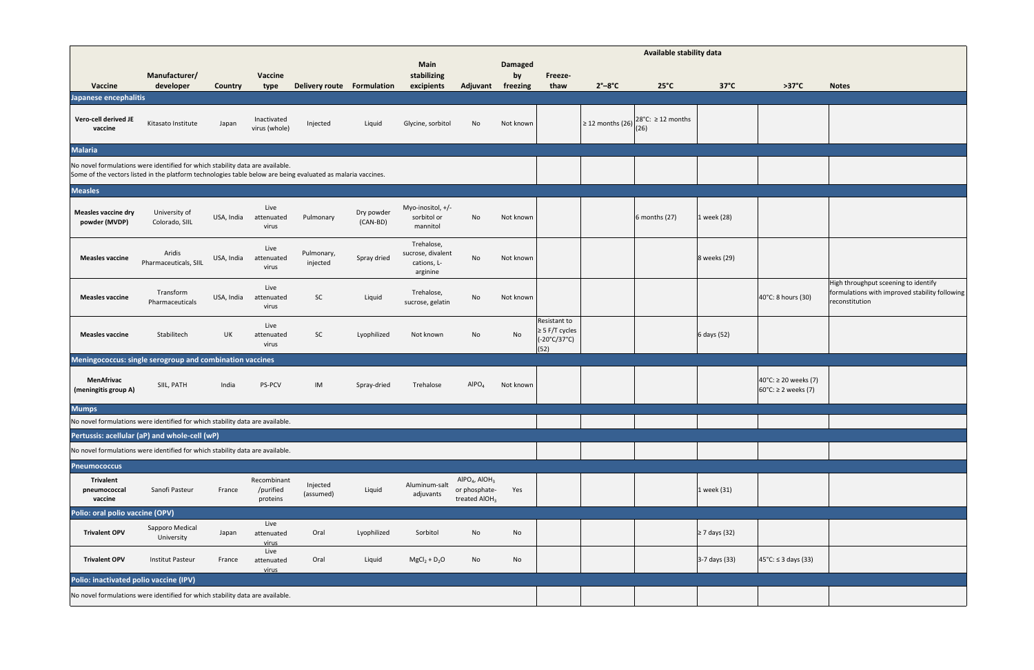

|                                                                                                                                                                                               |                                 |                |                                      |                            |                        |                                                            |                                                                           |                      |                                                                             |                       | <b>Available stability data</b>          |                           |                                                                   |                                                                                        |
|-----------------------------------------------------------------------------------------------------------------------------------------------------------------------------------------------|---------------------------------|----------------|--------------------------------------|----------------------------|------------------------|------------------------------------------------------------|---------------------------------------------------------------------------|----------------------|-----------------------------------------------------------------------------|-----------------------|------------------------------------------|---------------------------|-------------------------------------------------------------------|----------------------------------------------------------------------------------------|
|                                                                                                                                                                                               | Manufacturer/                   |                | <b>Vaccine</b>                       |                            |                        | <b>Main</b><br>stabilizing                                 |                                                                           | <b>Damaged</b><br>by | <b>Freeze-</b>                                                              |                       |                                          |                           |                                                                   |                                                                                        |
| <b>Vaccine</b>                                                                                                                                                                                | developer                       | <b>Country</b> | type                                 | Delivery route Formulation |                        | excipients                                                 | Adjuvant                                                                  | freezing             | thaw                                                                        | $2^\circ - 8^\circ C$ | $25^{\circ}$ C                           | $37^{\circ}$ C            | $>37^{\circ}C$                                                    | <b>Notes</b>                                                                           |
| Japanese encephalitis                                                                                                                                                                         |                                 |                |                                      |                            |                        |                                                            |                                                                           |                      |                                                                             |                       |                                          |                           |                                                                   |                                                                                        |
| <b>Vero-cell derived JE</b><br>vaccine                                                                                                                                                        | Kitasato Institute              | Japan          | Inactivated<br>virus (whole)         | Injected                   | Liquid                 | Glycine, sorbitol                                          | No                                                                        | Not known            |                                                                             | $\geq 12$ months (26) | $28^{\circ}$ C: $\geq$ 12 months<br>(26) |                           |                                                                   |                                                                                        |
| Malaria                                                                                                                                                                                       |                                 |                |                                      |                            |                        |                                                            |                                                                           |                      |                                                                             |                       |                                          |                           |                                                                   |                                                                                        |
| No novel formulations were identified for which stability data are available.<br>Some of the vectors listed in the platform technologies table below are being evaluated as malaria vaccines. |                                 |                |                                      |                            |                        |                                                            |                                                                           |                      |                                                                             |                       |                                          |                           |                                                                   |                                                                                        |
| <b>Measles</b>                                                                                                                                                                                |                                 |                |                                      |                            |                        |                                                            |                                                                           |                      |                                                                             |                       |                                          |                           |                                                                   |                                                                                        |
| <b>Measles vaccine dry</b><br>powder (MVDP)                                                                                                                                                   | University of<br>Colorado, SIIL | USA, India     | Live<br>attenuated<br>virus          | Pulmonary                  | Dry powder<br>(CAN-BD) | Myo-inositol, +/-<br>sorbitol or<br>mannitol               | <b>No</b>                                                                 | Not known            |                                                                             |                       | $6$ months $(27)$                        | 1 week (28)               |                                                                   |                                                                                        |
| <b>Measles vaccine</b>                                                                                                                                                                        | Aridis<br>Pharmaceuticals, SIIL | USA, India     | Live<br>attenuated<br>virus          | Pulmonary,<br>injected     | Spray dried            | Trehalose,<br>sucrose, divalent<br>cations, L-<br>arginine | <b>No</b>                                                                 | Not known            |                                                                             |                       |                                          | 8 weeks (29)              |                                                                   |                                                                                        |
| <b>Measles vaccine</b>                                                                                                                                                                        | Transform<br>Pharmaceuticals    | USA, India     | Live<br>attenuated<br>virus          | SC                         | Liquid                 | Trehalose,<br>sucrose, gelatin                             | <b>No</b>                                                                 | Not known            |                                                                             |                       |                                          |                           | $ 40^{\circ}$ C: 8 hours (30)                                     | High throughput sceening to iden<br>formulations with improved stabi<br>reconstitution |
| <b>Measles vaccine</b>                                                                                                                                                                        | Stabilitech                     | UK             | Live<br>attenuated<br>virus          | SC                         | Lyophilized            | Not known                                                  | No                                                                        | No                   | Resistant to<br>$\geq$ 5 F/T cycles<br>$(-20^{\circ}C/37^{\circ}C)$<br>(52) |                       |                                          | $6$ days (52)             |                                                                   |                                                                                        |
| Meningococcus: single serogroup and combination vaccines                                                                                                                                      |                                 |                |                                      |                            |                        |                                                            |                                                                           |                      |                                                                             |                       |                                          |                           |                                                                   |                                                                                        |
| <b>MenAfrivac</b><br>(meningitis group A)                                                                                                                                                     | SIIL, PATH                      | India          | <b>PS-PCV</b>                        | IM                         | Spray-dried            | Trehalose                                                  | $\mathsf{A}\mathsf{IPO}_4$                                                | Not known            |                                                                             |                       |                                          |                           | $ 40^{\circ}$ C: ≥ 20 weeks (7)<br>$ 60^{\circ}$ C: ≥ 2 weeks (7) |                                                                                        |
| <b>Mumps</b>                                                                                                                                                                                  |                                 |                |                                      |                            |                        |                                                            |                                                                           |                      |                                                                             |                       |                                          |                           |                                                                   |                                                                                        |
| No novel formulations were identified for which stability data are available.                                                                                                                 |                                 |                |                                      |                            |                        |                                                            |                                                                           |                      |                                                                             |                       |                                          |                           |                                                                   |                                                                                        |
| Pertussis: acellular (aP) and whole-cell (wP)                                                                                                                                                 |                                 |                |                                      |                            |                        |                                                            |                                                                           |                      |                                                                             |                       |                                          |                           |                                                                   |                                                                                        |
| No novel formulations were identified for which stability data are available.                                                                                                                 |                                 |                |                                      |                            |                        |                                                            |                                                                           |                      |                                                                             |                       |                                          |                           |                                                                   |                                                                                        |
| <b>Pneumococcus</b><br><b>Trivalent</b><br>pneumococcal<br>vaccine                                                                                                                            | Sanofi Pasteur                  | France         | Recombinant<br>/purified<br>proteins | Injected<br>(assumed)      | Liquid                 | Aluminum-salt<br>adjuvants                                 | AlPO <sub>4</sub> , AlOH <sub>3</sub><br>or phosphate-<br>treated $AIOH3$ | Yes                  |                                                                             |                       |                                          | $1$ week $(31)$           |                                                                   |                                                                                        |
| Polio: oral polio vaccine (OPV)                                                                                                                                                               |                                 |                |                                      |                            |                        |                                                            |                                                                           |                      |                                                                             |                       |                                          |                           |                                                                   |                                                                                        |
| <b>Trivalent OPV</b>                                                                                                                                                                          | Sapporo Medical<br>University   | Japan          | Live<br>attenuated<br>virus          | Oral                       | Lyophilized            | Sorbitol                                                   | No                                                                        | No                   |                                                                             |                       |                                          | $\geq$ 7 days (32)        |                                                                   |                                                                                        |
| <b>Trivalent OPV</b>                                                                                                                                                                          | <b>Institut Pasteur</b>         | France         | Live<br>attenuated<br>virus          | Oral                       | Liquid                 | $MgCl2 + D2O$                                              | No                                                                        | No                   |                                                                             |                       |                                          | $ 3-7 \text{ days} (33) $ | $ 45^{\circ}$ C: $\leq$ 3 days (33)                               |                                                                                        |
| Polio: inactivated polio vaccine (IPV)                                                                                                                                                        |                                 |                |                                      |                            |                        |                                                            |                                                                           |                      |                                                                             |                       |                                          |                           |                                                                   |                                                                                        |
| No novel formulations were identified for which stability data are available.                                                                                                                 |                                 |                |                                      |                            |                        |                                                            |                                                                           |                      |                                                                             |                       |                                          |                           |                                                                   |                                                                                        |

|                                                                                                                                                                                               |                                 |                |                                      |                            |                        |                                                            |                                                                           |                      |                                                                                    |                       | <b>Available stability data</b> |                           |                                                                   |                                                                                        |
|-----------------------------------------------------------------------------------------------------------------------------------------------------------------------------------------------|---------------------------------|----------------|--------------------------------------|----------------------------|------------------------|------------------------------------------------------------|---------------------------------------------------------------------------|----------------------|------------------------------------------------------------------------------------|-----------------------|---------------------------------|---------------------------|-------------------------------------------------------------------|----------------------------------------------------------------------------------------|
|                                                                                                                                                                                               | Manufacturer/                   |                | <b>Vaccine</b>                       |                            |                        | <b>Main</b><br>stabilizing                                 |                                                                           | <b>Damaged</b><br>by | <b>Freeze-</b>                                                                     |                       |                                 |                           |                                                                   |                                                                                        |
| <b>Vaccine</b>                                                                                                                                                                                | developer                       | <b>Country</b> | type                                 | Delivery route Formulation |                        | excipients                                                 | Adjuvant                                                                  | freezing             | thaw                                                                               | $2^\circ - 8^\circ C$ | $25^{\circ}$ C                  | $37^{\circ}$ C            | $>37^{\circ}C$                                                    | <b>Notes</b>                                                                           |
| Japanese encephalitis                                                                                                                                                                         |                                 |                |                                      |                            |                        |                                                            |                                                                           |                      |                                                                                    |                       |                                 |                           |                                                                   |                                                                                        |
| <b>Vero-cell derived JE</b><br>vaccine                                                                                                                                                        | Kitasato Institute              | Japan          | Inactivated<br>virus (whole)         | Injected                   | Liquid                 | Glycine, sorbitol                                          | No                                                                        | Not known            |                                                                                    | $\geq$ 12 months (26) | $ 28$ °C: ≥ 12 months<br>(26)   |                           |                                                                   |                                                                                        |
| <b>Malaria</b>                                                                                                                                                                                |                                 |                |                                      |                            |                        |                                                            |                                                                           |                      |                                                                                    |                       |                                 |                           |                                                                   |                                                                                        |
| No novel formulations were identified for which stability data are available.<br>Some of the vectors listed in the platform technologies table below are being evaluated as malaria vaccines. |                                 |                |                                      |                            |                        |                                                            |                                                                           |                      |                                                                                    |                       |                                 |                           |                                                                   |                                                                                        |
| <b>Measles</b>                                                                                                                                                                                |                                 |                |                                      |                            |                        |                                                            |                                                                           |                      |                                                                                    |                       |                                 |                           |                                                                   |                                                                                        |
| <b>Measles vaccine dry</b><br>powder (MVDP)                                                                                                                                                   | University of<br>Colorado, SIIL | USA, India     | Live<br>attenuated<br>virus          | Pulmonary                  | Dry powder<br>(CAN-BD) | Myo-inositol, $+/-$<br>sorbitol or<br>mannitol             | <b>No</b>                                                                 | Not known            |                                                                                    |                       | $6$ months $(27)$               | 1 week (28)               |                                                                   |                                                                                        |
| <b>Measles vaccine</b>                                                                                                                                                                        | Aridis<br>Pharmaceuticals, SIIL | USA, India     | Live<br>attenuated<br>virus          | Pulmonary,<br>injected     | Spray dried            | Trehalose,<br>sucrose, divalent<br>cations, L-<br>arginine | <b>No</b>                                                                 | Not known            |                                                                                    |                       |                                 | 8 weeks (29)              |                                                                   |                                                                                        |
| <b>Measles vaccine</b>                                                                                                                                                                        | Transform<br>Pharmaceuticals    | USA, India     | Live<br>attenuated<br>virus          | SC                         | Liquid                 | Trehalose,<br>sucrose, gelatin                             | No                                                                        | Not known            |                                                                                    |                       |                                 |                           | 40°C: 8 hours (30)                                                | High throughput sceening to iden<br>formulations with improved stabi<br>reconstitution |
| <b>Measles vaccine</b>                                                                                                                                                                        | Stabilitech                     | UK             | Live<br>attenuated<br>virus          | SC                         | Lyophilized            | Not known                                                  | No                                                                        | No                   | <b>Resistant to</b><br>$\geq$ 5 F/T cycles<br>$(-20^{\circ}C/37^{\circ}C)$<br>(52) |                       |                                 | $6$ days (52)             |                                                                   |                                                                                        |
| <b>Meningococcus: single serogroup and combination vaccines</b>                                                                                                                               |                                 |                |                                      |                            |                        |                                                            |                                                                           |                      |                                                                                    |                       |                                 |                           |                                                                   |                                                                                        |
| <b>MenAfrivac</b><br>(meningitis group A)                                                                                                                                                     | SIIL, PATH                      | India          | <b>PS-PCV</b>                        | IM                         | Spray-dried            | Trehalose                                                  | $\mathsf{A}\mathsf{IPO}_4$                                                | Not known            |                                                                                    |                       |                                 |                           | $ 40^{\circ}$ C: ≥ 20 weeks (7)<br>$ 60^{\circ}$ C: ≥ 2 weeks (7) |                                                                                        |
| <b>Mumps</b>                                                                                                                                                                                  |                                 |                |                                      |                            |                        |                                                            |                                                                           |                      |                                                                                    |                       |                                 |                           |                                                                   |                                                                                        |
| No novel formulations were identified for which stability data are available.                                                                                                                 |                                 |                |                                      |                            |                        |                                                            |                                                                           |                      |                                                                                    |                       |                                 |                           |                                                                   |                                                                                        |
| Pertussis: acellular (aP) and whole-cell (wP)                                                                                                                                                 |                                 |                |                                      |                            |                        |                                                            |                                                                           |                      |                                                                                    |                       |                                 |                           |                                                                   |                                                                                        |
| No novel formulations were identified for which stability data are available.                                                                                                                 |                                 |                |                                      |                            |                        |                                                            |                                                                           |                      |                                                                                    |                       |                                 |                           |                                                                   |                                                                                        |
| <b>Pneumococcus</b>                                                                                                                                                                           |                                 |                |                                      |                            |                        |                                                            |                                                                           |                      |                                                                                    |                       |                                 |                           |                                                                   |                                                                                        |
| <b>Trivalent</b><br>pneumococcal<br>vaccine                                                                                                                                                   | Sanofi Pasteur                  | France         | Recombinant<br>/purified<br>proteins | Injected<br>(assumed)      | Liquid                 | Aluminum-salt<br>adjuvants                                 | AIPO <sub>4</sub> , AIOH <sub>3</sub><br>or phosphate-<br>treated $AIOH3$ | Yes                  |                                                                                    |                       |                                 | 1 week (31)               |                                                                   |                                                                                        |
| Polio: oral polio vaccine (OPV)                                                                                                                                                               |                                 |                |                                      |                            |                        |                                                            |                                                                           |                      |                                                                                    |                       |                                 |                           |                                                                   |                                                                                        |
| <b>Trivalent OPV</b>                                                                                                                                                                          | Sapporo Medical<br>University   | Japan          | Live<br>attenuated<br>virus          | Oral                       | Lyophilized            | Sorbitol                                                   | No                                                                        | No                   |                                                                                    |                       |                                 | $\geq$ 7 days (32)        |                                                                   |                                                                                        |
| <b>Trivalent OPV</b>                                                                                                                                                                          | <b>Institut Pasteur</b>         | France         | Live<br>attenuated<br>virus          | Oral                       | Liquid                 | $MgCl_2 + D_2O$                                            | No                                                                        | No                   |                                                                                    |                       |                                 | $ 3-7 \text{ days} (33) $ | $ 45^{\circ}$ C: $\leq$ 3 days (33)                               |                                                                                        |
| Polio: inactivated polio vaccine (IPV)                                                                                                                                                        |                                 |                |                                      |                            |                        |                                                            |                                                                           |                      |                                                                                    |                       |                                 |                           |                                                                   |                                                                                        |
| No novel formulations were identified for which stability data are available.                                                                                                                 |                                 |                |                                      |                            |                        |                                                            |                                                                           |                      |                                                                                    |                       |                                 |                           |                                                                   |                                                                                        |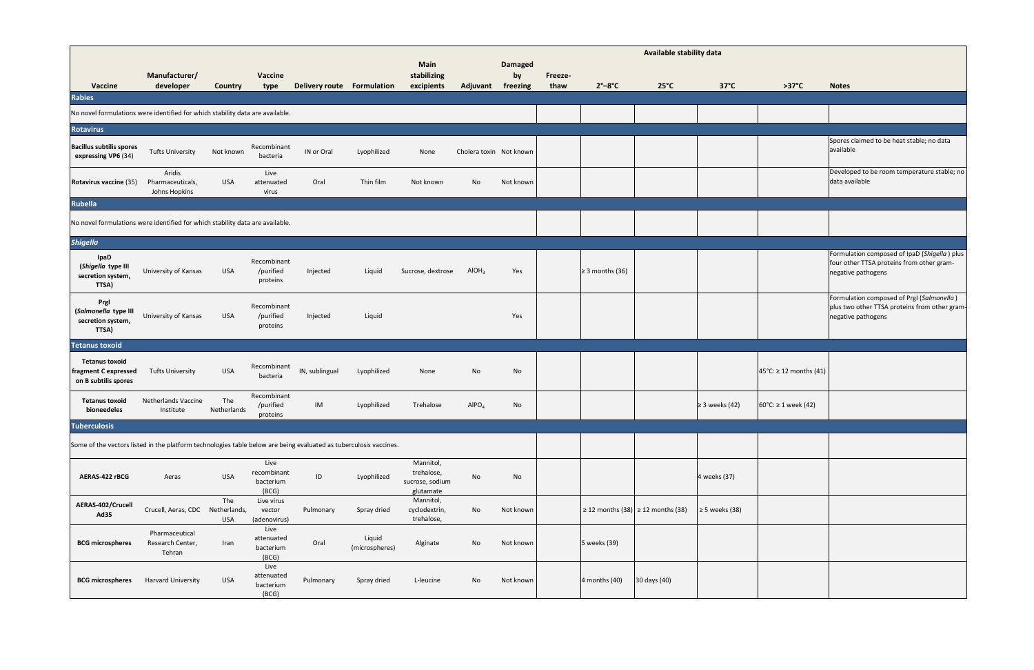|                                                                                                                   |                                              |                    |                                           |                            | <b>Available stability data</b> |                                                         |                         |                      |                |                                             |                  |                     |                                   |                                                                                                                  |
|-------------------------------------------------------------------------------------------------------------------|----------------------------------------------|--------------------|-------------------------------------------|----------------------------|---------------------------------|---------------------------------------------------------|-------------------------|----------------------|----------------|---------------------------------------------|------------------|---------------------|-----------------------------------|------------------------------------------------------------------------------------------------------------------|
|                                                                                                                   | Manufacturer/                                |                    | Vaccine                                   |                            |                                 | <b>Main</b><br>stabilizing                              |                         | <b>Damaged</b><br>by | <b>Freeze-</b> |                                             |                  |                     |                                   |                                                                                                                  |
| <b>Vaccine</b>                                                                                                    | developer                                    | <b>Country</b>     | type                                      | Delivery route Formulation |                                 | excipients                                              | Adjuvant                | freezing             | thaw           | $2^\circ - 8^\circ C$                       | $25^{\circ}$ C   | $37^{\circ}$ C      | $>37^{\circ}C$                    | <b>Notes</b>                                                                                                     |
| <b>Rabies</b>                                                                                                     |                                              |                    |                                           |                            |                                 |                                                         |                         |                      |                |                                             |                  |                     |                                   |                                                                                                                  |
| No novel formulations were identified for which stability data are available.                                     |                                              |                    |                                           |                            |                                 |                                                         |                         |                      |                |                                             |                  |                     |                                   |                                                                                                                  |
| Rotavirus                                                                                                         |                                              |                    |                                           |                            |                                 |                                                         |                         |                      |                |                                             |                  |                     |                                   |                                                                                                                  |
| <b>Bacillus subtilis spores</b><br>expressing VP6 (34)                                                            | <b>Tufts University</b>                      | Not known          | Recombinant<br>bacteria                   | IN or Oral                 | Lyophilized                     | None                                                    | Cholera toxin Not known |                      |                |                                             |                  |                     |                                   | Spores claimed to be heat stable; no data<br>available                                                           |
| <b>Rotavirus vaccine (35)</b>                                                                                     | Aridis<br>Pharmaceuticals,<br>Johns Hopkins  | <b>USA</b>         | Live<br>attenuated<br>virus               | Oral                       | Thin film                       | Not known                                               | <b>No</b>               | Not known            |                |                                             |                  |                     |                                   | Developed to be room temperature stable; no<br>data available                                                    |
| Rubella                                                                                                           |                                              |                    |                                           |                            |                                 |                                                         |                         |                      |                |                                             |                  |                     |                                   |                                                                                                                  |
| No novel formulations were identified for which stability data are available.                                     |                                              |                    |                                           |                            |                                 |                                                         |                         |                      |                |                                             |                  |                     |                                   |                                                                                                                  |
| <b>Shigella</b>                                                                                                   |                                              |                    |                                           |                            |                                 |                                                         |                         |                      |                |                                             |                  |                     |                                   |                                                                                                                  |
| <b>IpaD</b><br>(Shigella type III<br>secretion system,<br>TTSA)                                                   | University of Kansas                         | <b>USA</b>         | Recombinant<br>/purified<br>proteins      | Injected                   | Liquid                          | Sucrose, dextrose                                       | AIOH <sub>3</sub>       | Yes                  |                | $\geq$ 3 months (36)                        |                  |                     |                                   | Formulation composed of IpaD (Shigella) plus<br>four other TTSA proteins from other gram-<br>negative pathogens  |
| Prgl<br>(Salmonella type III<br>secretion system,<br>TTSA)                                                        | University of Kansas                         | <b>USA</b>         | Recombinant<br>/purified<br>proteins      | Injected                   | Liquid                          |                                                         |                         | Yes                  |                |                                             |                  |                     |                                   | Formulation composed of PrgI (Salmonella)<br>plus two other TTSA proteins from other gram-<br>negative pathogens |
| Tetanus toxoid                                                                                                    |                                              |                    |                                           |                            |                                 |                                                         |                         |                      |                |                                             |                  |                     |                                   |                                                                                                                  |
| <b>Tetanus toxoid</b><br><b>fragment C expressed</b><br>on B subtilis spores                                      | <b>Tufts University</b>                      | <b>USA</b>         | Recombinant<br>bacteria                   | IN, sublingual             | Lyophilized                     | None                                                    | No                      | No                   |                |                                             |                  |                     | $ 45^{\circ}$ C: ≥ 12 months (41) |                                                                                                                  |
| <b>Tetanus toxoid</b><br>bioneedeles                                                                              | <b>Netherlands Vaccine</b><br>Institute      | The<br>Netherlands | Recombinant<br>/purified<br>proteins      | IM                         | Lyophilized                     | Trehalose                                               | AlPO <sub>4</sub>       | No                   |                |                                             |                  | $\geq$ 3 weeks (42) | $ 60^{\circ}$ C: ≥ 1 week (42)    |                                                                                                                  |
| <b>Tuberculosis</b>                                                                                               |                                              |                    |                                           |                            |                                 |                                                         |                         |                      |                |                                             |                  |                     |                                   |                                                                                                                  |
| Some of the vectors listed in the platform technologies table below are being evaluated as tuberculosis vaccines. |                                              |                    |                                           |                            |                                 |                                                         |                         |                      |                |                                             |                  |                     |                                   |                                                                                                                  |
| <b>AERAS-422 rBCG</b>                                                                                             | Aeras                                        | <b>USA</b>         | Live<br>recombinant<br>bacterium<br>(BCG) | ID                         | Lyophilized                     | Mannitol,<br>trehalose,<br>sucrose, sodium<br>glutamate | <b>No</b>               | No                   |                |                                             |                  | 4 weeks $(37)$      |                                   |                                                                                                                  |
| AERAS-402/Crucell<br><b>Ad35</b>                                                                                  | Crucell, Aeras, CDC Netherlands,             | The<br><b>USA</b>  | Live virus<br>vector<br>(adenovirus)      | Pulmonary                  | Spray dried                     | Mannitol,<br>cyclodextrin,<br>trehalose,                | <b>No</b>               | Not known            |                | $\geq$ 12 months (38) $\geq$ 12 months (38) |                  | $\geq$ 5 weeks (38) |                                   |                                                                                                                  |
| <b>BCG microspheres</b>                                                                                           | Pharmaceutical<br>Research Center,<br>Tehran | Iran               | Live<br>attenuated<br>bacterium<br>(BCG)  | Oral                       | Liquid<br>(microspheres)        | Alginate                                                | No                      | Not known            |                | 5 weeks $(39)$                              |                  |                     |                                   |                                                                                                                  |
| <b>BCG microspheres</b>                                                                                           | <b>Harvard University</b>                    | <b>USA</b>         | Live<br>attenuated<br>bacterium<br>(BCG)  | Pulmonary                  | Spray dried                     | L-leucine                                               | No                      | Not known            |                | $4$ months $(40)$                           | $30$ days $(40)$ |                     |                                   |                                                                                                                  |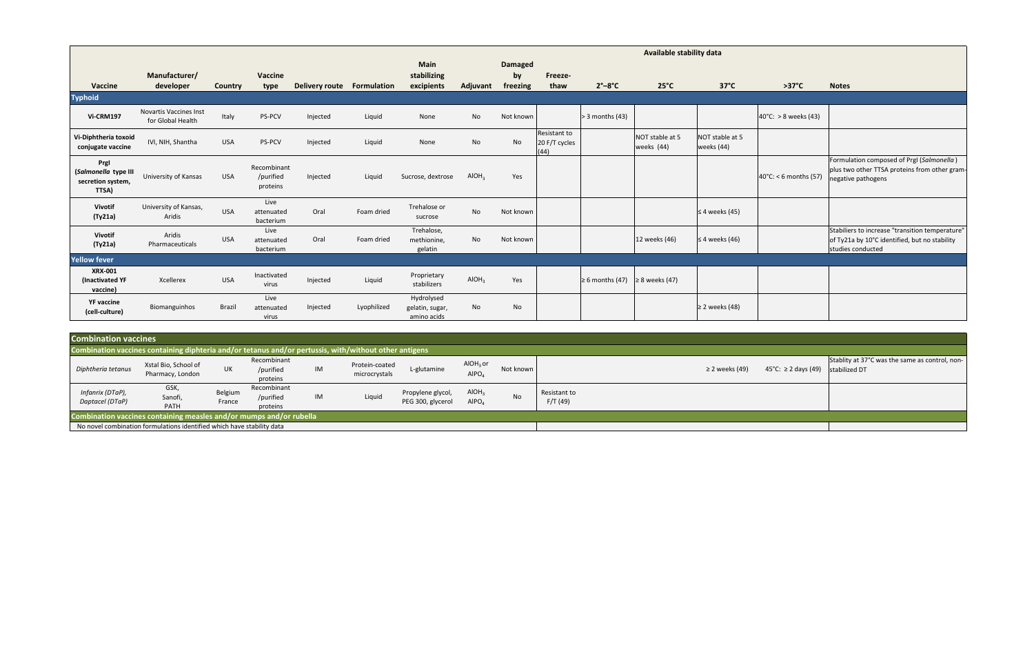|                                                            |                                                    |                |                                      |                |                    |                                              |                   |                                  |                                                |                                          | <b>Available stability data</b> |                                 |                                  |                                                                                                 |
|------------------------------------------------------------|----------------------------------------------------|----------------|--------------------------------------|----------------|--------------------|----------------------------------------------|-------------------|----------------------------------|------------------------------------------------|------------------------------------------|---------------------------------|---------------------------------|----------------------------------|-------------------------------------------------------------------------------------------------|
| Vaccine                                                    | Manufacturer/<br>developer                         | <b>Country</b> | <b>Vaccine</b><br>type               | Delivery route | <b>Formulation</b> | <b>Main</b><br>stabilizing<br>excipients     | Adjuvant          | <b>Damaged</b><br>by<br>freezing | <b>Freeze-</b><br>thaw                         | $2^\circ - 8^\circ C$                    | $25^{\circ}$ C                  | $37^{\circ}$ C                  | $>37^{\circ}C$                   | <b>Notes</b>                                                                                    |
| <b>Typhoid</b>                                             |                                                    |                |                                      |                |                    |                                              |                   |                                  |                                                |                                          |                                 |                                 |                                  |                                                                                                 |
| <b>Vi-CRM197</b>                                           | <b>Novartis Vaccines Inst</b><br>for Global Health | Italy          | <b>PS-PCV</b>                        | Injected       | Liquid             | None                                         | No                | Not known                        |                                                | $>$ 3 months (43)                        |                                 |                                 | $ 40^{\circ}$ C: > 8 weeks (43)  |                                                                                                 |
| Vi-Diphtheria toxoid<br>conjugate vaccine                  | IVI, NIH, Shantha                                  | <b>USA</b>     | <b>PS-PCV</b>                        | Injected       | Liquid             | None                                         | No                | <b>No</b>                        | <b>Resistant to</b><br>$20 F/T$ cycles<br>(44) |                                          | NOT stable at 5<br>weeks (44)   | NOT stable at 5<br>weeks $(44)$ |                                  |                                                                                                 |
| Prgl<br>(Salmonella type III<br>secretion system,<br>TTSA) | University of Kansas                               | <b>USA</b>     | Recombinant<br>/purified<br>proteins | Injected       | Liquid             | Sucrose, dextrose                            | AIOH <sub>3</sub> | Yes                              |                                                |                                          |                                 |                                 | $ 40^{\circ}$ C: < 6 months (57) | Formulation composed of PrgI (S<br>plus two other TTSA proteins fror<br>negative pathogens      |
| <b>Vivotif</b><br>(Ty21a)                                  | University of Kansas,<br>Aridis                    | <b>USA</b>     | Live<br>attenuated<br>bacterium      | Oral           | Foam dried         | Trehalose or<br>sucrose                      | <b>No</b>         | Not known                        |                                                |                                          |                                 | $\leq 4$ weeks (45)             |                                  |                                                                                                 |
| <b>Vivotif</b><br>(Ty21a)                                  | Aridis<br>Pharmaceuticals                          | <b>USA</b>     | Live<br>attenuated<br>bacterium      | Oral           | Foam dried         | Trehalose,<br>methionine,<br>gelatin         | No                | Not known                        |                                                |                                          | $ 12$ weeks $(46)$              | $\leq 4$ weeks (46)             |                                  | Stabiliers to increase "transition t<br>of Ty21a by 10°C identified, but r<br>studies conducted |
| <b>Yellow fever</b>                                        |                                                    |                |                                      |                |                    |                                              |                   |                                  |                                                |                                          |                                 |                                 |                                  |                                                                                                 |
| <b>XRX-001</b><br>(Inactivated YF<br>vaccine)              | Xcellerex                                          | <b>USA</b>     | Inactivated<br>virus                 | Injected       | Liquid             | Proprietary<br>stabilizers                   | AIOH <sub>3</sub> | Yes                              |                                                | $\geq 6$ months (47) $\geq 8$ weeks (47) |                                 |                                 |                                  |                                                                                                 |
| <b>YF vaccine</b><br>(cell-culture)                        | Biomanguinhos                                      | <b>Brazil</b>  | Live<br>attenuated<br>virus          | Injected       | Lyophilized        | Hydrolysed<br>gelatin, sugar,<br>amino acids | No                | <b>No</b>                        |                                                |                                          |                                 | $\geq$ 2 weeks (48)             |                                  |                                                                                                 |



| <b>Combination vaccines</b>         |                                                                                                        |                          |                                      |           |                                 |                                        |                                   |           |                         |                     |                      |                                                   |
|-------------------------------------|--------------------------------------------------------------------------------------------------------|--------------------------|--------------------------------------|-----------|---------------------------------|----------------------------------------|-----------------------------------|-----------|-------------------------|---------------------|----------------------|---------------------------------------------------|
|                                     | Combination vaccines containing diphteria and/or tetanus and/or pertussis, with/without other antigens |                          |                                      |           |                                 |                                        |                                   |           |                         |                     |                      |                                                   |
| Diphtheria tetanus                  | Xstal Bio, School of<br>Pharmacy, London                                                               | <b>UK</b>                | Recombinant<br>/purified<br>proteins | <b>IM</b> | Protein-coated<br>microcrystals | L-glutamine                            | $AIOH3$ or<br>AIPO <sub>A</sub>   | Not known |                         | $\geq$ 2 weeks (49) | 45 °C: ≥ 2 days (49) | Stablity at 37°C was the same as<br>stabilized DT |
| Infanrix (DTaP),<br>Daptacel (DTaP) | GSK,<br>Sanofi,<br><b>PATH</b>                                                                         | <b>Belgium</b><br>France | Recombinant<br>/purified<br>proteins | IM        | Liquid                          | Propylene glycol,<br>PEG 300, glycerol | AIOH <sub>3</sub><br>$A$ $P$ $O4$ | No        | Resistant to<br>F/T(49) |                     |                      |                                                   |
|                                     | Combination vaccines containing measles and/or mumps and/or rubella                                    |                          |                                      |           |                                 |                                        |                                   |           |                         |                     |                      |                                                   |
|                                     | No novel combination formulations identified which have stability data                                 |                          |                                      |           |                                 |                                        |                                   |           |                         |                     |                      |                                                   |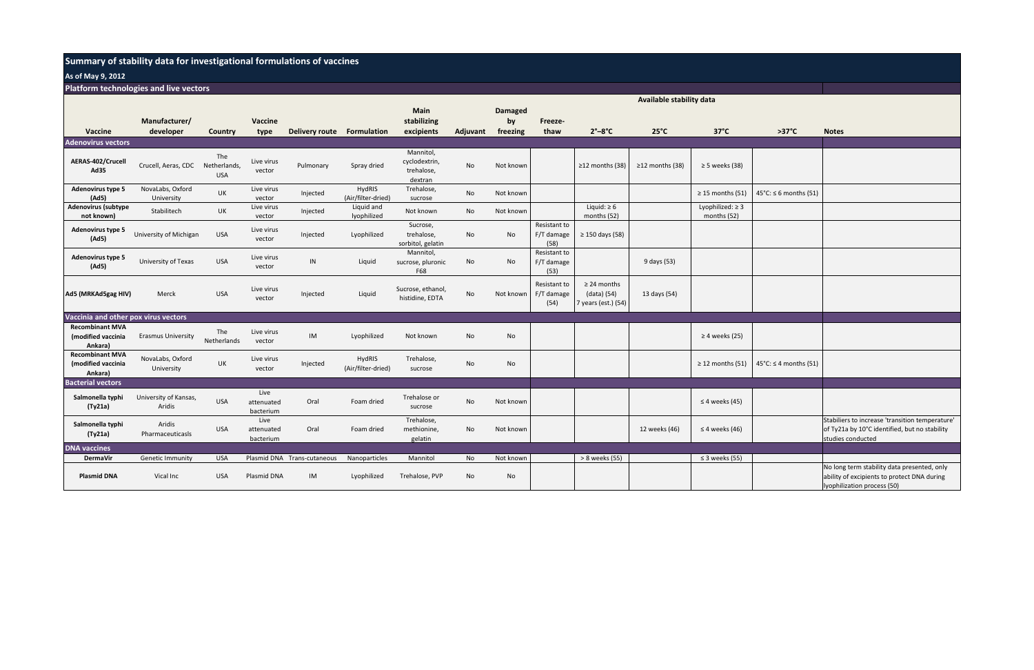# **Summary of stability data for investigational formulations of vaccines**

**Platform technologies and live vectors**

| <b>Platform technologies and live vectors</b>           |                                 |                                   |                                 |                             |                              |                                                     |           |                      |                                    |                                                        |                                 |                                      |                                      |                                                                                                     |
|---------------------------------------------------------|---------------------------------|-----------------------------------|---------------------------------|-----------------------------|------------------------------|-----------------------------------------------------|-----------|----------------------|------------------------------------|--------------------------------------------------------|---------------------------------|--------------------------------------|--------------------------------------|-----------------------------------------------------------------------------------------------------|
|                                                         |                                 |                                   |                                 |                             |                              |                                                     |           |                      |                                    |                                                        | <b>Available stability data</b> |                                      |                                      |                                                                                                     |
|                                                         | Manufacturer/                   |                                   | <b>Vaccine</b>                  |                             |                              | <b>Main</b><br>stabilizing                          |           | <b>Damaged</b><br>by | <b>Freeze-</b>                     |                                                        |                                 |                                      |                                      |                                                                                                     |
| <b>Vaccine</b>                                          | developer                       | <b>Country</b>                    | type                            | Delivery route              | Formulation                  | excipients                                          | Adjuvant  | freezing             | thaw                               | $2^\circ - 8^\circ C$                                  | $25^{\circ}$ C                  | $37^{\circ}$ C                       | $>37^{\circ}C$                       | <b>Notes</b>                                                                                        |
| <b>Adenovirus vectors</b>                               |                                 |                                   |                                 |                             |                              |                                                     |           |                      |                                    |                                                        |                                 |                                      |                                      |                                                                                                     |
| AERAS-402/Crucell<br><b>Ad35</b>                        | Crucell, Aeras, CDC             | The<br>Netherlands,<br><b>USA</b> | Live virus<br>vector            | Pulmonary                   | Spray dried                  | Mannitol,<br>cyclodextrin,<br>trehalose,<br>dextran | <b>No</b> | Not known            |                                    | $≥12$ months (38)                                      | $≥12$ months (38)               | $\geq$ 5 weeks (38)                  |                                      |                                                                                                     |
| <b>Adenovirus type 5</b><br>(Ad5)                       | NovaLabs, Oxford<br>University  | UK                                | Live virus<br>vector            | Injected                    | HydRIS<br>(Air/filter-dried) | Trehalose,<br>sucrose                               | <b>No</b> | Not known            |                                    |                                                        |                                 | $\geq$ 15 months (51)                | 45 °C: ≤ 6 months (51)               |                                                                                                     |
| <b>Adenovirus (subtype</b><br>not known)                | Stabilitech                     | UK                                | Live virus<br>vector            | Injected                    | Liquid and<br>lyophilized    | Not known                                           | <b>No</b> | Not known            |                                    | Liquid: $\geq 6$<br>months $(52)$                      |                                 | Lyophilized: $\geq$ 3<br>months (52) |                                      |                                                                                                     |
| <b>Adenovirus type 5</b><br>(Ad5)                       | University of Michigan          | <b>USA</b>                        | Live virus<br>vector            | Injected                    | Lyophilized                  | Sucrose,<br>trehalose,<br>sorbitol, gelatin         | <b>No</b> | <b>No</b>            | Resistant to<br>F/T damage<br>(58) | ≥ 150 days $(58)$                                      |                                 |                                      |                                      |                                                                                                     |
| <b>Adenovirus type 5</b><br>(Ad5)                       | University of Texas             | <b>USA</b>                        | Live virus<br>vector            | $\mathsf{IN}$               | Liquid                       | Mannitol,<br>sucrose, pluronic<br>F68               | <b>No</b> | No                   | Resistant to<br>F/T damage<br>(53) |                                                        | 9 days (53)                     |                                      |                                      |                                                                                                     |
| Ad5 (MRKAd5gag HIV)                                     | Merck                           | <b>USA</b>                        | Live virus<br>vector            | Injected                    | Liquid                       | Sucrose, ethanol,<br>histidine, EDTA                | No        | Not known            | Resistant to<br>F/T damage<br>(54) | $\geq$ 24 months<br>(data) (54)<br>7 years (est.) (54) | 13 days (54)                    |                                      |                                      |                                                                                                     |
| Vaccinia and other pox virus vectors                    |                                 |                                   |                                 |                             |                              |                                                     |           |                      |                                    |                                                        |                                 |                                      |                                      |                                                                                                     |
| <b>Recombinant MVA</b><br>(modified vaccinia<br>Ankara) | <b>Erasmus University</b>       | The<br>Netherlands                | Live virus<br>vector            | IM                          | Lyophilized                  | Not known                                           | <b>No</b> | No                   |                                    |                                                        |                                 | $\geq$ 4 weeks (25)                  |                                      |                                                                                                     |
| <b>Recombinant MVA</b><br>(modified vaccinia<br>Ankara) | NovaLabs, Oxford<br>University  | <b>UK</b>                         | Live virus<br>vector            | Injected                    | HydRIS<br>(Air/filter-dried) | Trehalose,<br>sucrose                               | <b>No</b> | No                   |                                    |                                                        |                                 | $\geq$ 12 months (51)                | $45^{\circ}$ C: $\leq 4$ months (51) |                                                                                                     |
| <b>Bacterial vectors</b>                                |                                 |                                   |                                 |                             |                              |                                                     |           |                      |                                    |                                                        |                                 |                                      |                                      |                                                                                                     |
| Salmonella typhi<br>(Ty21a)                             | University of Kansas,<br>Aridis | <b>USA</b>                        | Live<br>attenuated<br>bacterium | Oral                        | Foam dried                   | Trehalose or<br>sucrose                             | <b>No</b> | Not known            |                                    |                                                        |                                 | $\leq$ 4 weeks (45)                  |                                      |                                                                                                     |
| Salmonella typhi<br>(Ty21a)                             | Aridis<br>Pharmaceuticasls      | <b>USA</b>                        | Live<br>attenuated<br>bacterium | Oral                        | Foam dried                   | Trehalose,<br>methionine,<br>gelatin                | <b>No</b> | Not known            |                                    |                                                        | 12 weeks (46)                   | $\leq$ 4 weeks (46)                  |                                      | Stabiliers to increase 'transitio<br>of Ty21a by 10°C identified, bu<br>studies conducted           |
| <b>DNA vaccines</b>                                     |                                 |                                   |                                 |                             |                              |                                                     |           |                      |                                    |                                                        |                                 |                                      |                                      |                                                                                                     |
| <b>DermaVir</b>                                         | <b>Genetic Immunity</b>         | <b>USA</b>                        |                                 | Plasmid DNA Trans-cutaneous | Nanoparticles                | Mannitol                                            | <b>No</b> | Not known            |                                    | > 8 weeks (55)                                         |                                 | $\leq$ 3 weeks (55)                  |                                      |                                                                                                     |
| <b>Plasmid DNA</b>                                      | Vical Inc                       | <b>USA</b>                        | Plasmid DNA                     | IM                          | Lyophilized                  | Trehalose, PVP                                      | <b>No</b> | No                   |                                    |                                                        |                                 |                                      |                                      | No long term stability data pre<br>ability of excipients to protect<br>(Jyophilization process (50) |



## **As of May 9, 2012**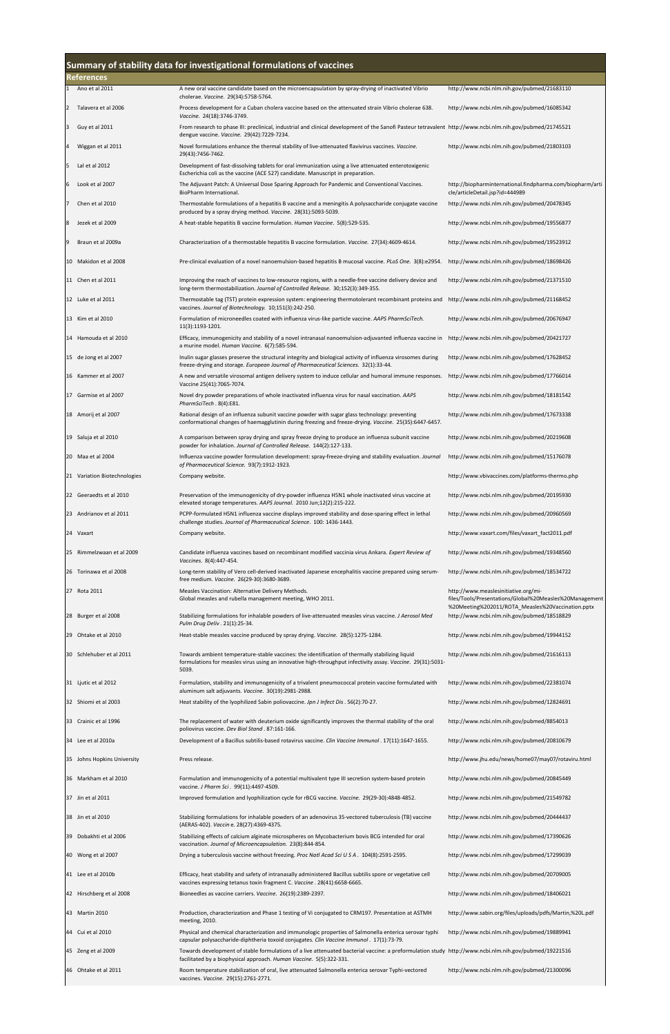|      |                                     | Summary of stability data for investigational formulations of vaccines                                                                                                                                                       |                                                                                                  |
|------|-------------------------------------|------------------------------------------------------------------------------------------------------------------------------------------------------------------------------------------------------------------------------|--------------------------------------------------------------------------------------------------|
|      | <b>References</b><br>Ano et al 2011 | A new oral vaccine candidate based on the microencapsulation by spray-drying of inactivated Vibrio                                                                                                                           | http://www.ncbi.nlm.nih.gov/pubmed/21683110                                                      |
| 12   | Talavera et al 2006                 | cholerae. Vaccine. 29(34):5758-5764.<br>Process development for a Cuban cholera vaccine based on the attenuated strain Vibrio cholerae 638.                                                                                  | http://www.ncbi.nlm.nih.gov/pubmed/16085342                                                      |
| 3    | Guy et al 2011                      | Vaccine. 24(18):3746-3749.<br>From research to phase III: preclinical, industrial and clinical development of the Sanofi Pasteur tetravalent http://www.ncbi.nlm.nih.gov/pubmed/21745521                                     |                                                                                                  |
| 14   | Wiggan et al 2011                   | dengue vaccine. Vaccine. 29(42):7229-7234.<br>Novel formulations enhance the thermal stability of live-attenuated flavivirus vaccines. Vaccine.                                                                              | http://www.ncbi.nlm.nih.gov/pubmed/21803103                                                      |
|      |                                     | 29(43):7456-7462.                                                                                                                                                                                                            |                                                                                                  |
| 15   | Lal et al 2012                      | Development of fast-dissolving tablets for oral immunization using a live attenuated enterotoxigenic<br>Escherichia coli as the vaccine (ACE 527) candidate. Manuscript in preparation.                                      |                                                                                                  |
| 16   | Look et al 2007                     | The Adjuvant Patch: A Universal Dose Sparing Approach for Pandemic and Conventional Vaccines.<br>BioPharm International.                                                                                                     | http://biopharminternational.findpharma.com/biopharm/arti<br>cle/articleDetail.jsp?id=444989     |
| 17   | Chen et al 2010                     | Thermostable formulations of a hepatitis B vaccine and a meningitis A polysaccharide conjugate vaccine<br>produced by a spray drying method. Vaccine. 28(31):5093-5039.                                                      | http://www.ncbi.nlm.nih.gov/pubmed/20478345                                                      |
| 18   | Jezek et al 2009                    | A heat-stable hepatitis B vaccine formulation. Human Vaccine. 5(8):529-535.                                                                                                                                                  | http://www.ncbi.nlm.nih.gov/pubmed/19556877                                                      |
| 19   | Braun et al 2009a                   | Characterization of a thermostable hepatitis B vaccine formulation. Vaccine. 27(34):4609-4614.                                                                                                                               | http://www.ncbi.nlm.nih.gov/pubmed/19523912                                                      |
|      | 10 Makidon et al 2008               | Pre-clinical evaluation of a novel nanoemulsion-based hepatitis B mucosal vaccine. PLoS One. 3(8):e2954.                                                                                                                     | http://www.ncbi.nlm.nih.gov/pubmed/18698426                                                      |
|      | 11 Chen et al 2011                  | Improving the reach of vaccines to low-resource regions, with a needle-free vaccine delivery device and<br>long-term thermostabilization. Journal of Controlled Release. 30;152(3):349-355.                                  | http://www.ncbi.nlm.nih.gov/pubmed/21371510                                                      |
|      | 12 Luke et al 2011                  | Thermostable tag (TST) protein expression system: engineering thermotolerant recombinant proteins and http://www.ncbi.nlm.nih.gov/pubmed/21168452<br>vaccines. Journal of Biotechnology. 10;151(3):242-250.                  |                                                                                                  |
|      | 13 Kim et al 2010                   | Formulation of microneedles coated with influenza virus-like particle vaccine. AAPS PharmSciTech.<br>11(3):1193-1201.                                                                                                        | http://www.ncbi.nlm.nih.gov/pubmed/20676947                                                      |
|      | 14 Hamouda et al 2010               | Efficacy, immunogenicity and stability of a novel intranasal nanoemulsion-adjuvanted influenza vaccine in http://www.ncbi.nlm.nih.gov/pubmed/20421727<br>a murine model. Human Vaccine. 6(7):585-594.                        |                                                                                                  |
|      | 15 de Jong et al 2007               | Inulin sugar glasses preserve the structural integrity and biological activity of influenza virosomes during<br>freeze-drying and storage. European Journal of Pharmaceutical Sciences. 32(1):33-44.                         | http://www.ncbi.nlm.nih.gov/pubmed/17628452                                                      |
|      | 16 Kammer et al 2007                | A new and versatile virosomal antigen delivery system to induce cellular and humoral immune responses.<br>Vaccine 25(41):7065-7074.                                                                                          | http://www.ncbi.nlm.nih.gov/pubmed/17766014                                                      |
| 117  | Garmise et al 2007                  | Novel dry powder preparations of whole inactivated influenza virus for nasal vaccination. AAPS<br>PharmSciTech. 8(4):E81.                                                                                                    | http://www.ncbi.nlm.nih.gov/pubmed/18181542                                                      |
|      | 18 Amorij et al 2007                | Rational design of an influenza subunit vaccine powder with sugar glass technology: preventing<br>conformational changes of haemagglutinin during freezing and freeze-drying. Vaccine. 25(35):6447-6457.                     | http://www.ncbi.nlm.nih.gov/pubmed/17673338                                                      |
|      | 19 Saluja et al 2010                | A comparison between spray drying and spray freeze drying to produce an influenza subunit vaccine<br>powder for inhalation. Journal of Controlled Release. 144(2):127-133.                                                   | http://www.ncbi.nlm.nih.gov/pubmed/20219608                                                      |
|      | 20 Maa et al 2004                   | Influenza vaccine powder formulation development: spray-freeze-drying and stability evaluation. Journal<br>of Pharmaceutical Science. 93(7):1912-1923.                                                                       | http://www.ncbi.nlm.nih.gov/pubmed/15176078                                                      |
|      | 21 Variation Biotechnologies        | Company website.                                                                                                                                                                                                             | http://www.vbivaccines.com/platforms-thermo.php                                                  |
|      | 22 Geeraedts et al 2010             | Preservation of the immunogenicity of dry-powder influenza H5N1 whole inactivated virus vaccine at<br>elevated storage temperatures. AAPS Journal. 2010 Jun;12(2):215-222.                                                   | http://www.ncbi.nlm.nih.gov/pubmed/20195930                                                      |
| 123. | Andrianov et al 2011                | PCPP-formulated H5N1 influenza vaccine displays improved stability and dose-sparing effect in lethal                                                                                                                         | http://www.ncbi.nlm.nih.gov/pubmed/20960569                                                      |
|      | 24 Vaxart                           | challenge studies. Journal of Pharmaceutical Science. 100: 1436-1443.<br>Company website.                                                                                                                                    | http://www.vaxart.com/files/vaxart_fact2011.pdf                                                  |
|      | 25 Rimmelzwaan et al 2009           | Candidate influenza vaccines based on recombinant modified vaccinia virus Ankara. Expert Review of                                                                                                                           | http://www.ncbi.nlm.nih.gov/pubmed/19348560                                                      |
|      | 26 Torinawa et al 2008              | Vaccines. 8(4):447-454.<br>Long-term stability of Vero cell-derived inactivated Japanese encephalitis vaccine prepared using serum-                                                                                          | http://www.ncbi.nlm.nih.gov/pubmed/18534722                                                      |
|      | 27 Rota 2011                        | free medium. Vaccine. 26(29-30):3680-3689.<br>Measles Vaccination: Alternative Delivery Methods.<br>Global measles and rubella management meeting, WHO 2011.                                                                 | http://www.measlesinitiative.org/mi-<br>files/Tools/Presentations/Global%20Measles%20Management  |
|      | 28 Burger et al 2008                | Stabilizing formulations for inhalable powders of live-attenuated measles virus vaccine. J Aerosol Med                                                                                                                       | %20Meeting%202011/ROTA_Measles%20Vaccination.pptx<br>http://www.ncbi.nlm.nih.gov/pubmed/18518829 |
|      | 29 Ohtake et al 2010                | Pulm Drug Deliv . 21(1):25-34.<br>Heat-stable measles vaccine produced by spray drying. Vaccine. 28(5):1275-1284.                                                                                                            | http://www.ncbi.nlm.nih.gov/pubmed/19944152                                                      |
|      | 30 Schlehuber et al 2011            | Towards ambient temperature-stable vaccines: the identification of thermally stabilizing liquid<br>formulations for measles virus using an innovative high-throughput infectivity assay. Vaccine. 29(31):5031-               | http://www.ncbi.nlm.nih.gov/pubmed/21616113                                                      |
|      | 31 Ljutic et al 2012                | 5039.<br>Formulation, stability and immunogenicity of a trivalent pneumococcal protein vaccine formulated with                                                                                                               | http://www.ncbi.nlm.nih.gov/pubmed/22381074                                                      |
|      | 32 Shiomi et al 2003                | aluminum salt adjuvants. Vaccine. 30(19):2981-2988.<br>Heat stability of the lyophilized Sabin poliovaccine. Jpn J Infect Dis. 56(2):70-27.                                                                                  | http://www.ncbi.nlm.nih.gov/pubmed/12824691                                                      |
|      | 33 Crainic et al 1996               | The replacement of water with deuterium oxide significantly improves the thermal stability of the oral                                                                                                                       | http://www.ncbi.nlm.nih.gov/pubmed/8854013                                                       |
|      | 34 Lee et al 2010a                  | poliovirus vaccine. Dev Biol Stand. 87:161-166.<br>Development of a Bacillus subtilis-based rotavirus vaccine. Clin Vaccine Immunol . 17(11):1647-1655.                                                                      | http://www.ncbi.nlm.nih.gov/pubmed/20810679                                                      |
|      | 35 Johns Hopkins University         | Press release.                                                                                                                                                                                                               | http://www.jhu.edu/news/home07/may07/rotaviru.html                                               |
|      | 36 Markham et al 2010               |                                                                                                                                                                                                                              |                                                                                                  |
|      |                                     | Formulation and immunogenicity of a potential multivalent type III secretion system-based protein<br>vaccine. J Pharm Sci. 99(11):4497-4509.                                                                                 | http://www.ncbi.nlm.nih.gov/pubmed/20845449                                                      |
|      | 37 Jin et al 2011                   | Improved formulation and Iyophilization cycle for rBCG vaccine. Vaccine. 29(29-30):4848-4852.                                                                                                                                | http://www.ncbi.nlm.nih.gov/pubmed/21549782                                                      |
|      | 38 Jin et al 2010                   | Stabilizing formulations for inhalable powders of an adenovirus 35-vectored tuberculosis (TB) vaccine<br>(AERAS-402). Vaccin e. 28(27):4369-4375.                                                                            | http://www.ncbi.nlm.nih.gov/pubmed/20444437                                                      |
|      | 39 Dobakhti et al 2006              | Stabilizing effects of calcium alginate microspheres on Mycobacterium bovis BCG intended for oral<br>vaccination. Journal of Microencapsulation. 23(8):844-854.                                                              | http://www.ncbi.nlm.nih.gov/pubmed/17390626                                                      |
|      | 40 Wong et al 2007                  | Drying a tuberculosis vaccine without freezing. Proc Natl Acad Sci U S A . 104(8):2591-2595.                                                                                                                                 | http://www.ncbi.nlm.nih.gov/pubmed/17299039                                                      |
|      | 41 Lee et al 2010b                  | Efficacy, heat stability and safety of intranasally administered Bacillus subtilis spore or vegetative cell<br>vaccines expressing tetanus toxin fragment C. Vaccine . 28(41):6658-6665.                                     | http://www.ncbi.nlm.nih.gov/pubmed/20709005                                                      |
|      | 42 Hirschberg et al 2008            | Bioneedles as vaccine carriers. Vaccine. 26(19):2389-2397.                                                                                                                                                                   | http://www.ncbi.nlm.nih.gov/pubmed/18406021                                                      |
|      | 43 Martin 2010                      | Production, characterization and Phase 1 testing of Vi conjugated to CRM197. Presentation at ASTMH<br>meeting, 2010.                                                                                                         | http://www.sabin.org/files/uploads/pdfs/Martin,%20L.pdf                                          |
|      | 44 Cui et al 2010                   | Physical and chemical characterization and immunologic properties of Salmonella enterica serovar typhi<br>capsular polysaccharide-diphtheria toxoid conjugates. Clin Vaccine Immunol . 17(1):73-79.                          | http://www.ncbi.nlm.nih.gov/pubmed/19889941                                                      |
|      | 45 Zeng et al 2009                  | Towards development of stable formulations of a live attenuated bacterial vaccine: a preformulation study http://www.ncbi.nlm.nih.gov/pubmed/19221516<br>facilitated by a biophysical approach. Human Vaccine. 5(5):322-331. |                                                                                                  |
|      | 46 Ohtake et al 2011                | Room temperature stabilization of oral, live attenuated Salmonella enterica serovar Typhi-vectored<br>vaccines. Vaccine. 29(15):2761-2771.                                                                                   | http://www.ncbi.nlm.nih.gov/pubmed/21300096                                                      |